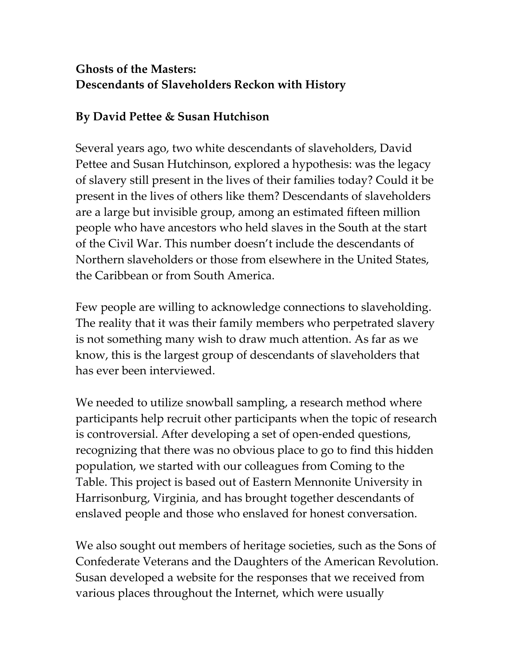# **Ghosts of the Masters: Descendants of Slaveholders Reckon with History**

### **By David Pettee & Susan Hutchison**

Several years ago, two white descendants of slaveholders, David Pettee and Susan Hutchinson, explored a hypothesis: was the legacy of slavery still present in the lives of their families today? Could it be present in the lives of others like them? Descendants of slaveholders are a large but invisible group, among an estimated fifteen million people who have ancestors who held slaves in the South at the start of the Civil War. This number doesn't include the descendants of Northern slaveholders or those from elsewhere in the United States, the Caribbean or from South America.

Few people are willing to acknowledge connections to slaveholding. The reality that it was their family members who perpetrated slavery is not something many wish to draw much attention. As far as we know, this is the largest group of descendants of slaveholders that has ever been interviewed.

We needed to utilize snowball sampling, a research method where participants help recruit other participants when the topic of research is controversial. After developing a set of open-ended questions, recognizing that there was no obvious place to go to find this hidden population, we started with our colleagues from Coming to the Table. This project is based out of Eastern Mennonite University in Harrisonburg, Virginia, and has brought together descendants of enslaved people and those who enslaved for honest conversation.

We also sought out members of heritage societies, such as the Sons of Confederate Veterans and the Daughters of the American Revolution. Susan developed a website for the responses that we received from various places throughout the Internet, which were usually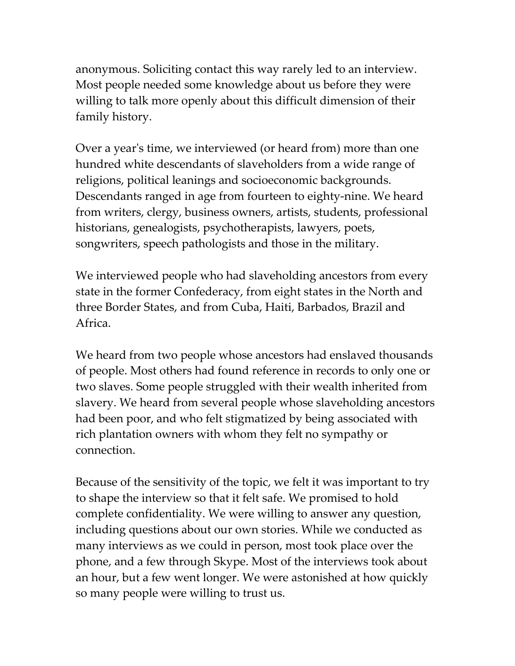anonymous. Soliciting contact this way rarely led to an interview. Most people needed some knowledge about us before they were willing to talk more openly about this difficult dimension of their family history.

Over a year's time, we interviewed (or heard from) more than one hundred white descendants of slaveholders from a wide range of religions, political leanings and socioeconomic backgrounds. Descendants ranged in age from fourteen to eighty-nine. We heard from writers, clergy, business owners, artists, students, professional historians, genealogists, psychotherapists, lawyers, poets, songwriters, speech pathologists and those in the military.

We interviewed people who had slaveholding ancestors from every state in the former Confederacy, from eight states in the North and three Border States, and from Cuba, Haiti, Barbados, Brazil and Africa.

We heard from two people whose ancestors had enslaved thousands of people. Most others had found reference in records to only one or two slaves. Some people struggled with their wealth inherited from slavery. We heard from several people whose slaveholding ancestors had been poor, and who felt stigmatized by being associated with rich plantation owners with whom they felt no sympathy or connection.

Because of the sensitivity of the topic, we felt it was important to try to shape the interview so that it felt safe. We promised to hold complete confidentiality. We were willing to answer any question, including questions about our own stories. While we conducted as many interviews as we could in person, most took place over the phone, and a few through Skype. Most of the interviews took about an hour, but a few went longer. We were astonished at how quickly so many people were willing to trust us.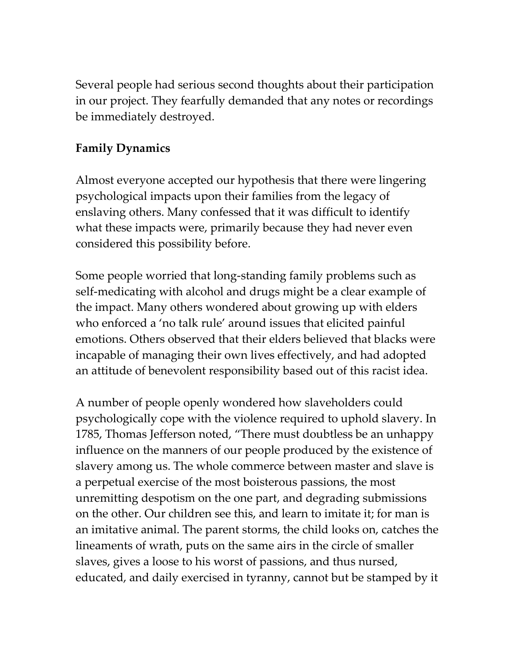Several people had serious second thoughts about their participation in our project. They fearfully demanded that any notes or recordings be immediately destroyed.

# **Family Dynamics**

Almost everyone accepted our hypothesis that there were lingering psychological impacts upon their families from the legacy of enslaving others. Many confessed that it was difficult to identify what these impacts were, primarily because they had never even considered this possibility before.

Some people worried that long-standing family problems such as self-medicating with alcohol and drugs might be a clear example of the impact. Many others wondered about growing up with elders who enforced a 'no talk rule' around issues that elicited painful emotions. Others observed that their elders believed that blacks were incapable of managing their own lives effectively, and had adopted an attitude of benevolent responsibility based out of this racist idea.

A number of people openly wondered how slaveholders could psychologically cope with the violence required to uphold slavery. In 1785, Thomas Jefferson noted, "There must doubtless be an unhappy influence on the manners of our people produced by the existence of slavery among us. The whole commerce between master and slave is a perpetual exercise of the most boisterous passions, the most unremitting despotism on the one part, and degrading submissions on the other. Our children see this, and learn to imitate it; for man is an imitative animal. The parent storms, the child looks on, catches the lineaments of wrath, puts on the same airs in the circle of smaller slaves, gives a loose to his worst of passions, and thus nursed, educated, and daily exercised in tyranny, cannot but be stamped by it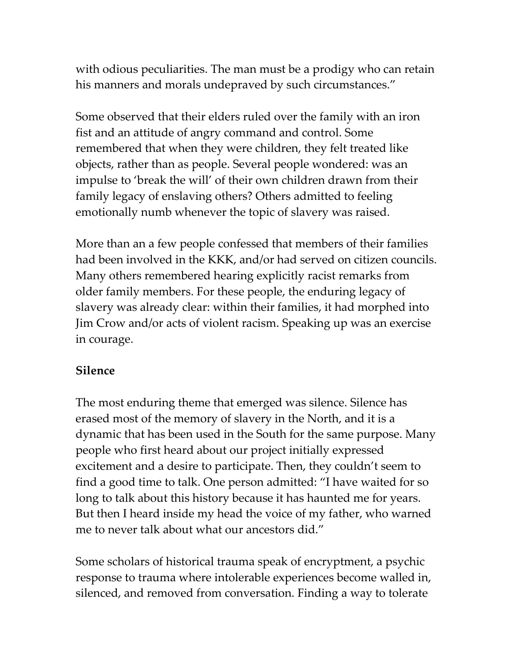with odious peculiarities. The man must be a prodigy who can retain his manners and morals undepraved by such circumstances."

Some observed that their elders ruled over the family with an iron fist and an attitude of angry command and control. Some remembered that when they were children, they felt treated like objects, rather than as people. Several people wondered: was an impulse to 'break the will' of their own children drawn from their family legacy of enslaving others? Others admitted to feeling emotionally numb whenever the topic of slavery was raised.

More than an a few people confessed that members of their families had been involved in the KKK, and/or had served on citizen councils. Many others remembered hearing explicitly racist remarks from older family members. For these people, the enduring legacy of slavery was already clear: within their families, it had morphed into Jim Crow and/or acts of violent racism. Speaking up was an exercise in courage.

#### **Silence**

The most enduring theme that emerged was silence. Silence has erased most of the memory of slavery in the North, and it is a dynamic that has been used in the South for the same purpose. Many people who first heard about our project initially expressed excitement and a desire to participate. Then, they couldn't seem to find a good time to talk. One person admitted: "I have waited for so long to talk about this history because it has haunted me for years. But then I heard inside my head the voice of my father, who warned me to never talk about what our ancestors did."

Some scholars of historical trauma speak of encryptment, a psychic response to trauma where intolerable experiences become walled in, silenced, and removed from conversation. Finding a way to tolerate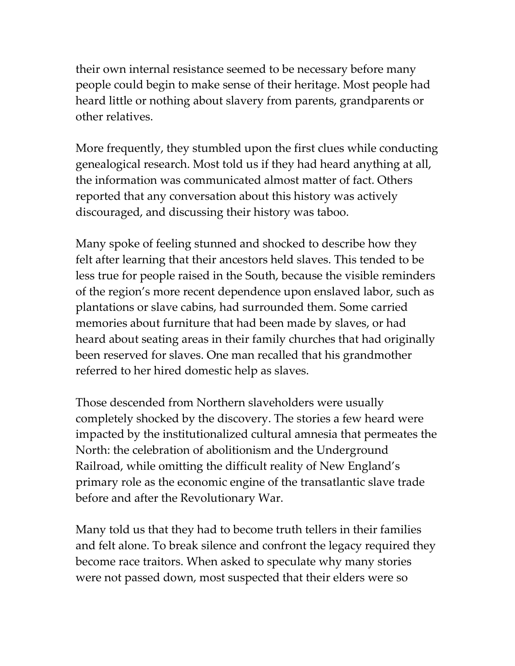their own internal resistance seemed to be necessary before many people could begin to make sense of their heritage. Most people had heard little or nothing about slavery from parents, grandparents or other relatives.

More frequently, they stumbled upon the first clues while conducting genealogical research. Most told us if they had heard anything at all, the information was communicated almost matter of fact. Others reported that any conversation about this history was actively discouraged, and discussing their history was taboo.

Many spoke of feeling stunned and shocked to describe how they felt after learning that their ancestors held slaves. This tended to be less true for people raised in the South, because the visible reminders of the region's more recent dependence upon enslaved labor, such as plantations or slave cabins, had surrounded them. Some carried memories about furniture that had been made by slaves, or had heard about seating areas in their family churches that had originally been reserved for slaves. One man recalled that his grandmother referred to her hired domestic help as slaves.

Those descended from Northern slaveholders were usually completely shocked by the discovery. The stories a few heard were impacted by the institutionalized cultural amnesia that permeates the North: the celebration of abolitionism and the Underground Railroad, while omitting the difficult reality of New England's primary role as the economic engine of the transatlantic slave trade before and after the Revolutionary War.

Many told us that they had to become truth tellers in their families and felt alone. To break silence and confront the legacy required they become race traitors. When asked to speculate why many stories were not passed down, most suspected that their elders were so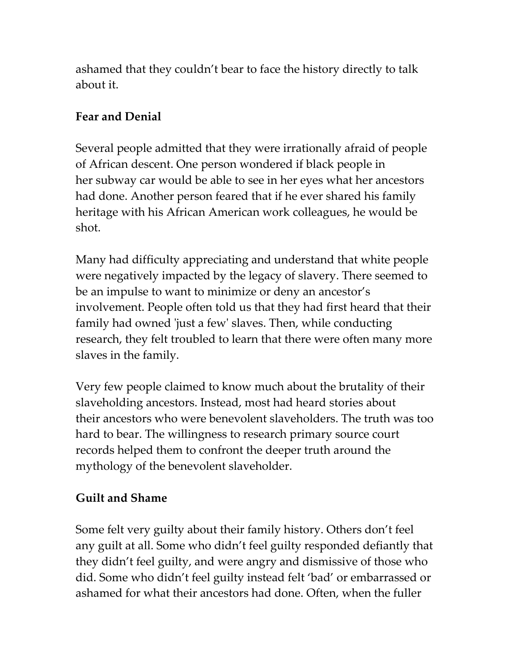ashamed that they couldn't bear to face the history directly to talk about it.

## **Fear and Denial**

Several people admitted that they were irrationally afraid of people of African descent. One person wondered if black people in her subway car would be able to see in her eyes what her ancestors had done. Another person feared that if he ever shared his family heritage with his African American work colleagues, he would be shot.

Many had difficulty appreciating and understand that white people were negatively impacted by the legacy of slavery. There seemed to be an impulse to want to minimize or deny an ancestor's involvement. People often told us that they had first heard that their family had owned 'just a few' slaves. Then, while conducting research, they felt troubled to learn that there were often many more slaves in the family.

Very few people claimed to know much about the brutality of their slaveholding ancestors. Instead, most had heard stories about their ancestors who were benevolent slaveholders. The truth was too hard to bear. The willingness to research primary source court records helped them to confront the deeper truth around the mythology of the benevolent slaveholder.

## **Guilt and Shame**

Some felt very guilty about their family history. Others don't feel any guilt at all. Some who didn't feel guilty responded defiantly that they didn't feel guilty, and were angry and dismissive of those who did. Some who didn't feel guilty instead felt 'bad' or embarrassed or ashamed for what their ancestors had done. Often, when the fuller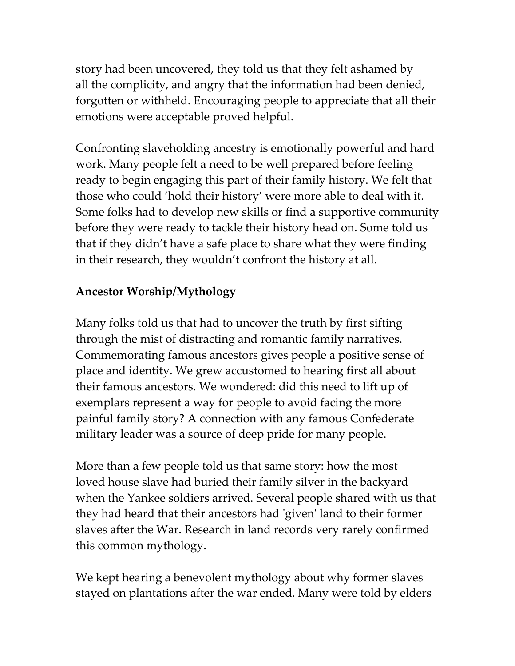story had been uncovered, they told us that they felt ashamed by all the complicity, and angry that the information had been denied, forgotten or withheld. Encouraging people to appreciate that all their emotions were acceptable proved helpful.

Confronting slaveholding ancestry is emotionally powerful and hard work. Many people felt a need to be well prepared before feeling ready to begin engaging this part of their family history. We felt that those who could 'hold their history' were more able to deal with it. Some folks had to develop new skills or find a supportive community before they were ready to tackle their history head on. Some told us that if they didn't have a safe place to share what they were finding in their research, they wouldn't confront the history at all.

#### **Ancestor Worship/Mythology**

Many folks told us that had to uncover the truth by first sifting through the mist of distracting and romantic family narratives. Commemorating famous ancestors gives people a positive sense of place and identity. We grew accustomed to hearing first all about their famous ancestors. We wondered: did this need to lift up of exemplars represent a way for people to avoid facing the more painful family story? A connection with any famous Confederate military leader was a source of deep pride for many people.

More than a few people told us that same story: how the most loved house slave had buried their family silver in the backyard when the Yankee soldiers arrived. Several people shared with us that they had heard that their ancestors had 'given' land to their former slaves after the War. Research in land records very rarely confirmed this common mythology.

We kept hearing a benevolent mythology about why former slaves stayed on plantations after the war ended. Many were told by elders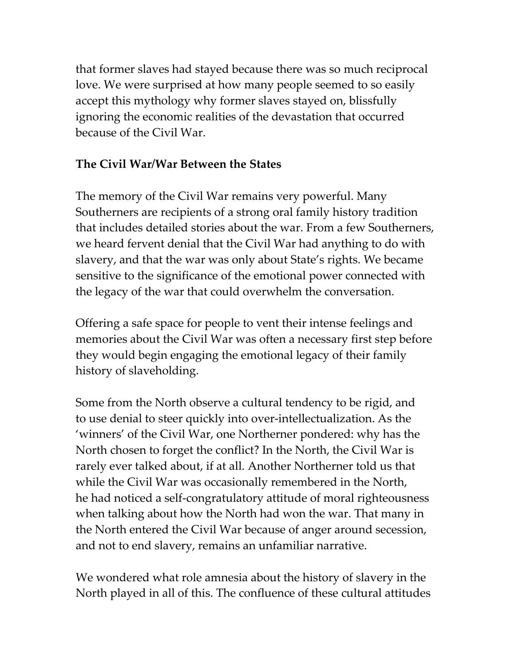that former slaves had stayed because there was so much reciprocal love. We were surprised at how many people seemed to so easily accept this mythology why former slaves stayed on, blissfully ignoring the economic realities of the devastation that occurred because of the Civil War.

#### **The Civil War/War Between the States**

The memory of the Civil War remains very powerful. Many Southerners are recipients of a strong oral family history tradition that includes detailed stories about the war. From a few Southerners, we heard fervent denial that the Civil War had anything to do with slavery, and that the war was only about State's rights. We became sensitive to the significance of the emotional power connected with the legacy of the war that could overwhelm the conversation.

Offering a safe space for people to vent their intense feelings and memories about the Civil War was often a necessary first step before they would begin engaging the emotional legacy of their family history of slaveholding.

Some from the North observe a cultural tendency to be rigid, and to use denial to steer quickly into over-intellectualization. As the 'winners' of the Civil War, one Northerner pondered: why has the North chosen to forget the conflict? In the North, the Civil War is rarely ever talked about, if at all. Another Northerner told us that while the Civil War was occasionally remembered in the North, he had noticed a self-congratulatory attitude of moral righteousness when talking about how the North had won the war. That many in the North entered the Civil War because of anger around secession, and not to end slavery, remains an unfamiliar narrative.

We wondered what role amnesia about the history of slavery in the North played in all of this. The confluence of these cultural attitudes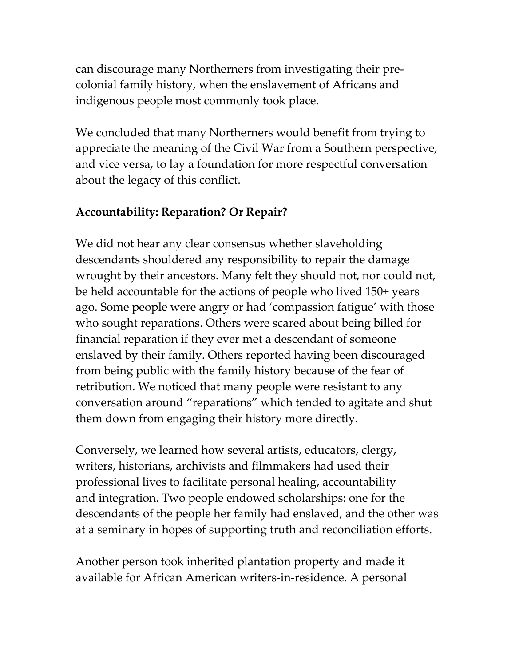can discourage many Northerners from investigating their precolonial family history, when the enslavement of Africans and indigenous people most commonly took place.

We concluded that many Northerners would benefit from trying to appreciate the meaning of the Civil War from a Southern perspective, and vice versa, to lay a foundation for more respectful conversation about the legacy of this conflict.

## **Accountability: Reparation? Or Repair?**

We did not hear any clear consensus whether slaveholding descendants shouldered any responsibility to repair the damage wrought by their ancestors. Many felt they should not, nor could not, be held accountable for the actions of people who lived 150+ years ago. Some people were angry or had 'compassion fatigue' with those who sought reparations. Others were scared about being billed for financial reparation if they ever met a descendant of someone enslaved by their family. Others reported having been discouraged from being public with the family history because of the fear of retribution. We noticed that many people were resistant to any conversation around "reparations" which tended to agitate and shut them down from engaging their history more directly.

Conversely, we learned how several artists, educators, clergy, writers, historians, archivists and filmmakers had used their professional lives to facilitate personal healing, accountability and integration. Two people endowed scholarships: one for the descendants of the people her family had enslaved, and the other was at a seminary in hopes of supporting truth and reconciliation efforts.

Another person took inherited plantation property and made it available for African American writers-in-residence. A personal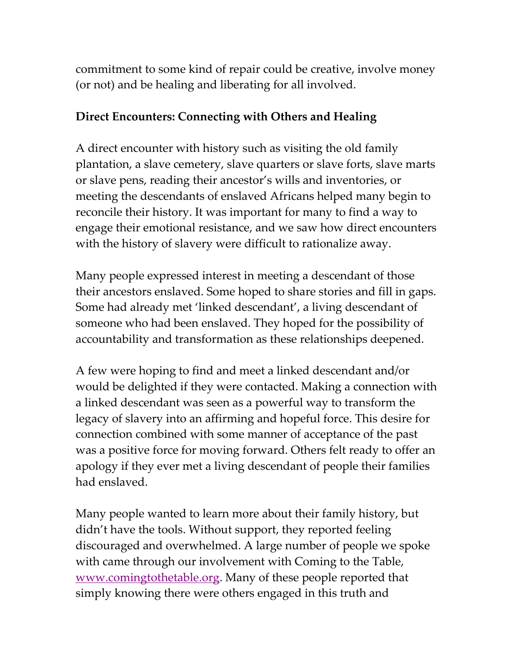commitment to some kind of repair could be creative, involve money (or not) and be healing and liberating for all involved.

### **Direct Encounters: Connecting with Others and Healing**

A direct encounter with history such as visiting the old family plantation, a slave cemetery, slave quarters or slave forts, slave marts or slave pens, reading their ancestor's wills and inventories, or meeting the descendants of enslaved Africans helped many begin to reconcile their history. It was important for many to find a way to engage their emotional resistance, and we saw how direct encounters with the history of slavery were difficult to rationalize away.

Many people expressed interest in meeting a descendant of those their ancestors enslaved. Some hoped to share stories and fill in gaps. Some had already met 'linked descendant', a living descendant of someone who had been enslaved. They hoped for the possibility of accountability and transformation as these relationships deepened.

A few were hoping to find and meet a linked descendant and/or would be delighted if they were contacted. Making a connection with a linked descendant was seen as a powerful way to transform the legacy of slavery into an affirming and hopeful force. This desire for connection combined with some manner of acceptance of the past was a positive force for moving forward. Others felt ready to offer an apology if they ever met a living descendant of people their families had enslaved.

Many people wanted to learn more about their family history, but didn't have the tools. Without support, they reported feeling discouraged and overwhelmed. A large number of people we spoke with came through our involvement with Coming to the Table, [www.comingtothetable.org.](http://www.comingtothetable.org/) Many of these people reported that simply knowing there were others engaged in this truth and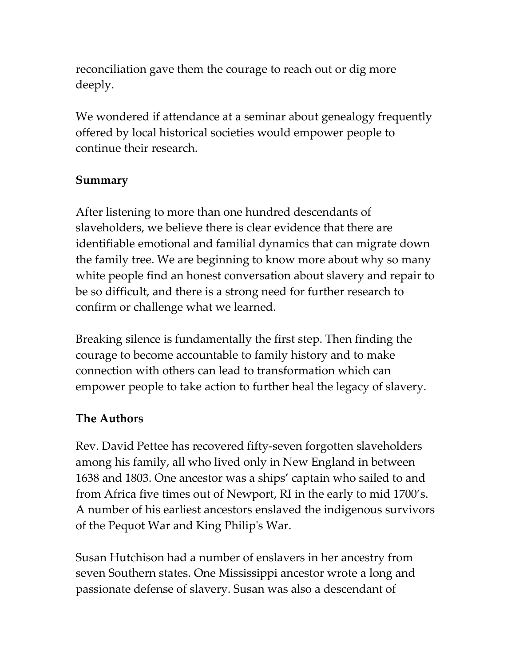reconciliation gave them the courage to reach out or dig more deeply.

We wondered if attendance at a seminar about genealogy frequently offered by local historical societies would empower people to continue their research.

#### **Summary**

After listening to more than one hundred descendants of slaveholders, we believe there is clear evidence that there are identifiable emotional and familial dynamics that can migrate down the family tree. We are beginning to know more about why so many white people find an honest conversation about slavery and repair to be so difficult, and there is a strong need for further research to confirm or challenge what we learned.

Breaking silence is fundamentally the first step. Then finding the courage to become accountable to family history and to make connection with others can lead to transformation which can empower people to take action to further heal the legacy of slavery.

#### **The Authors**

Rev. David Pettee has recovered fifty-seven forgotten slaveholders among his family, all who lived only in New England in between 1638 and 1803. One ancestor was a ships' captain who sailed to and from Africa five times out of Newport, RI in the early to mid 1700's. A number of his earliest ancestors enslaved the indigenous survivors of the Pequot War and King Philip's War.

Susan Hutchison had a number of enslavers in her ancestry from seven Southern states. One Mississippi ancestor wrote a long and passionate defense of slavery. Susan was also a descendant of